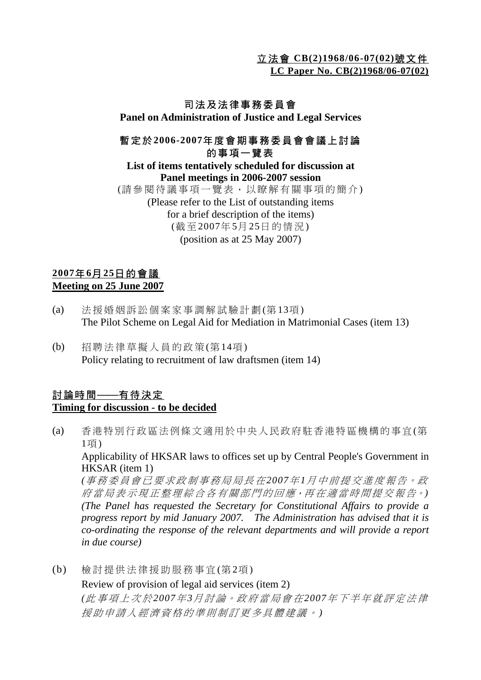立法會 **CB(2)1968/06-07(02)**號文件 **LC Paper No. CB(2)1968/06-07(02)**

## 司法及法律事務委員會

**Panel on Administration of Justice and Legal Services**

## 暫定於 **2006-2007**年度會期事務委員會會議上討論 的事項一覽表

**List of items tentatively scheduled for discussion at Panel meetings in 2006-2007 session**

(請參閱待議事項一覽表,以瞭解有關事項的簡介) (Please refer to the List of outstanding items for a brief description of the items) (截至 2007年 5月 25日的情況 ) (position as at 25 May 2007)

## **2007**年 **6**月 **25**日的會議 **Meeting on 25 June 2007**

- (a) 法援婚姻訴訟個案家事調解試驗計劃 (第 13項) The Pilot Scheme on Legal Aid for Mediation in Matrimonial Cases (item 13)
- (b) 招聘法律草擬人員的政策(第14項) Policy relating to recruitment of law draftsmen (item 14)

## 討論時間——有待決定 **Timing for discussion - to be decided**

(a) 香港特別行政區法例條文適用於中央人民政府駐香港特區機構的事宜(第 1項)

Applicability of HKSAR laws to offices set up by Central People's Government in HKSAR (item 1)

*(*事務委員會已要求政制事務局局長在*2007*年 *1*月中前提交進度報告。政 府當局表示現正整理綜合各有關部門的回應,再在適當時間提交報告。) *(The Panel has requested the Secretary for Constitutional Affairs to provide a progress report by mid January 2007. The Administration has advised that it is co-ordinating the response of the relevant departments and will provide a report in due course)* 

(b) 檢討提供法律援助服務事宜 (第 2項 ) Review of provision of legal aid services (item 2) *(*此事項上次於*2007*年 *3*月討論。政府當局會在*2007*年下半年就評定法律 援助申請人經濟資格的準則制訂更多具體建議。 *)*